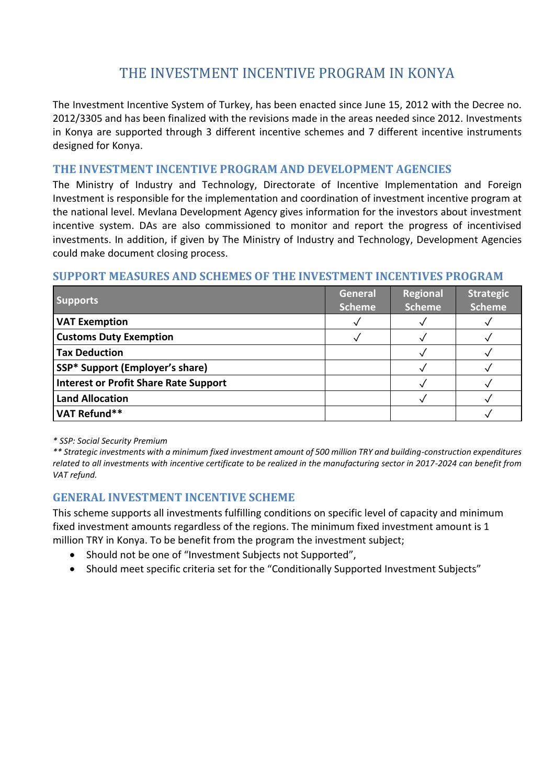# THE INVESTMENT INCENTIVE PROGRAM IN KONYA

The Investment Incentive System of Turkey, has been enacted since June 15, 2012 with the Decree no. 2012/3305 and has been finalized with the revisions made in the areas needed since 2012. Investments in Konya are supported through 3 different incentive schemes and 7 different incentive instruments designed for Konya.

#### **THE INVESTMENT INCENTIVE PROGRAM AND DEVELOPMENT AGENCIES**

The Ministry of Industry and Technology, Directorate of Incentive Implementation and Foreign Investment is responsible for the implementation and coordination of investment incentive program at the national level. Mevlana Development Agency gives information for the investors about investment incentive system. DAs are also commissioned to monitor and report the progress of incentivised investments. In addition, if given by The Ministry of Industry and Technology, Development Agencies could make document closing process.

#### **SUPPORT MEASURES AND SCHEMES OF THE INVESTMENT INCENTIVES PROGRAM**

| <b>Supports</b>                              | <b>General</b><br><b>Scheme</b> | <b>Regional</b><br><b>Scheme</b> | <b>Strategic</b><br><b>Scheme</b> |
|----------------------------------------------|---------------------------------|----------------------------------|-----------------------------------|
| <b>VAT Exemption</b>                         |                                 |                                  |                                   |
| <b>Customs Duty Exemption</b>                |                                 |                                  |                                   |
| <b>Tax Deduction</b>                         |                                 |                                  |                                   |
| SSP* Support (Employer's share)              |                                 |                                  |                                   |
| <b>Interest or Profit Share Rate Support</b> |                                 |                                  |                                   |
| <b>Land Allocation</b>                       |                                 |                                  |                                   |
| VAT Refund**                                 |                                 |                                  |                                   |

*\* SSP: Social Security Premium*

*\*\* Strategic investments with a minimum fixed investment amount of 500 million TRY and building-construction expenditures related to all investments with incentive certificate to be realized in the manufacturing sector in 2017-2024 can benefit from VAT refund.*

## **GENERAL INVESTMENT INCENTIVE SCHEME**

This scheme supports all investments fulfilling conditions on specific level of capacity and minimum fixed investment amounts regardless of the regions. The minimum fixed investment amount is 1 million TRY in Konya. To be benefit from the program the investment subject;

- Should not be one of "Investment Subjects not Supported",
- Should meet specific criteria set for the "Conditionally Supported Investment Subjects"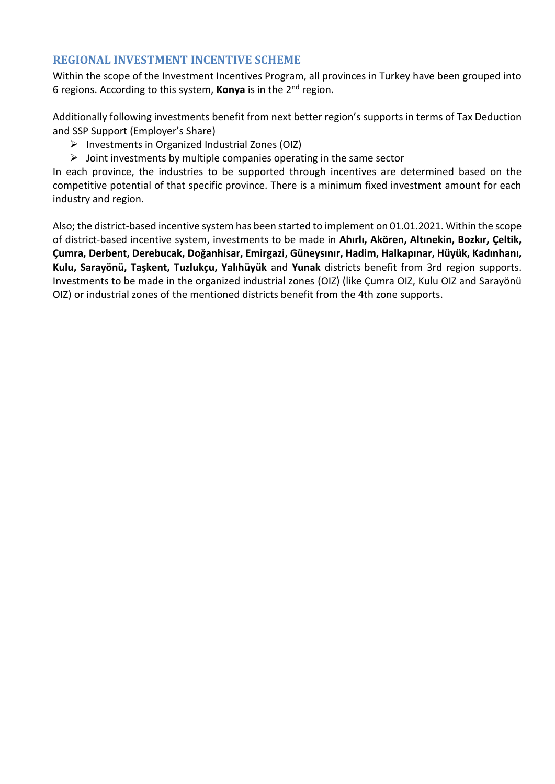#### **REGIONAL INVESTMENT INCENTIVE SCHEME**

Within the scope of the Investment Incentives Program, all provinces in Turkey have been grouped into 6 regions. According to this system, **Konya** is in the 2nd region.

Additionally following investments benefit from next better region's supports in terms of Tax Deduction and SSP Support (Employer's Share)

- $\triangleright$  Investments in Organized Industrial Zones (OIZ)
- $\triangleright$  Joint investments by multiple companies operating in the same sector

In each province, the industries to be supported through incentives are determined based on the competitive potential of that specific province. There is a minimum fixed investment amount for each industry and region.

Also; the district-based incentive system has been started to implement on 01.01.2021. Within the scope of district-based incentive system, investments to be made in **Ahırlı, Akören, Altınekin, Bozkır, Çeltik, Çumra, Derbent, Derebucak, Doğanhisar, Emirgazi, Güneysınır, Hadim, Halkapınar, Hüyük, Kadınhanı, Kulu, Sarayönü, Taşkent, Tuzlukçu, Yalıhüyük** and **Yunak** districts benefit from 3rd region supports. Investments to be made in the organized industrial zones (OIZ) (like Çumra OIZ, Kulu OIZ and Sarayönü OIZ) or industrial zones of the mentioned districts benefit from the 4th zone supports.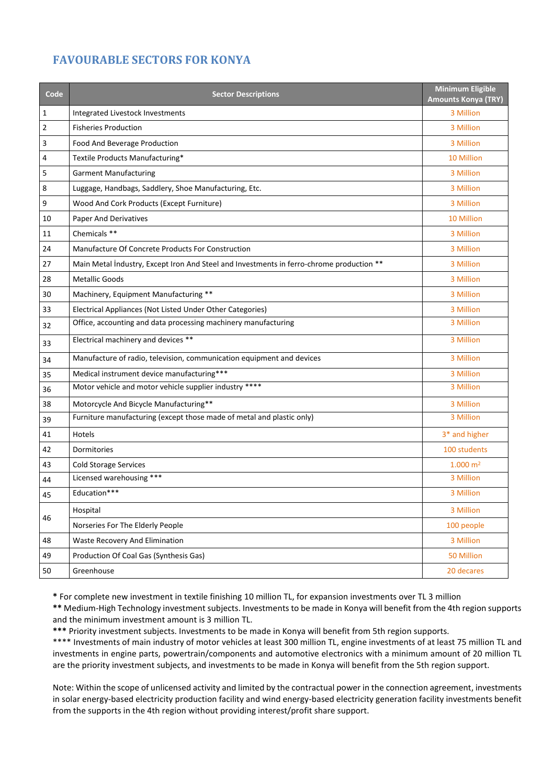# **FAVOURABLE SECTORS FOR KONYA**

| Code           | <b>Sector Descriptions</b>                                                               | <b>Minimum Eligible</b><br><b>Amounts Konya (TRY)</b> |
|----------------|------------------------------------------------------------------------------------------|-------------------------------------------------------|
| $\mathbf 1$    | Integrated Livestock Investments                                                         | 3 Million                                             |
| $\overline{2}$ | <b>Fisheries Production</b>                                                              | 3 Million                                             |
| $\mathbf{3}$   | Food And Beverage Production                                                             | 3 Million                                             |
| 4              | Textile Products Manufacturing*                                                          | 10 Million                                            |
| 5              | <b>Garment Manufacturing</b>                                                             | 3 Million                                             |
| 8              | Luggage, Handbags, Saddlery, Shoe Manufacturing, Etc.                                    | 3 Million                                             |
| 9              | Wood And Cork Products (Except Furniture)                                                | 3 Million                                             |
| 10             | Paper And Derivatives                                                                    | 10 Million                                            |
| 11             | Chemicals **                                                                             | 3 Million                                             |
| 24             | Manufacture Of Concrete Products For Construction                                        | 3 Million                                             |
| 27             | Main Metal Industry, Except Iron And Steel and Investments in ferro-chrome production ** | 3 Million                                             |
| 28             | <b>Metallic Goods</b>                                                                    | 3 Million                                             |
| 30             | Machinery, Equipment Manufacturing **                                                    | 3 Million                                             |
| 33             | Electrical Appliances (Not Listed Under Other Categories)                                | 3 Million                                             |
| 32             | Office, accounting and data processing machinery manufacturing                           | 3 Million                                             |
| 33             | Electrical machinery and devices **                                                      | 3 Million                                             |
| 34             | Manufacture of radio, television, communication equipment and devices                    | 3 Million                                             |
| 35             | Medical instrument device manufacturing***                                               | 3 Million                                             |
| 36             | Motor vehicle and motor vehicle supplier industry ****                                   | 3 Million                                             |
| 38             | Motorcycle And Bicycle Manufacturing**                                                   | 3 Million                                             |
| 39             | Furniture manufacturing (except those made of metal and plastic only)                    | 3 Million                                             |
| 41             | Hotels                                                                                   | 3 <sup>*</sup> and higher                             |
| 42             | Dormitories                                                                              | 100 students                                          |
| 43             | <b>Cold Storage Services</b>                                                             | $1.000 \; \mathrm{m}^2$                               |
| 44             | Licensed warehousing ***                                                                 | 3 Million                                             |
| 45             | Education***                                                                             | 3 Million                                             |
|                | Hospital                                                                                 | 3 Million                                             |
| 46             | Norseries For The Elderly People                                                         | 100 people                                            |
| 48             | <b>Waste Recovery And Elimination</b>                                                    | 3 Million                                             |
| 49             | Production Of Coal Gas (Synthesis Gas)                                                   | 50 Million                                            |
| 50             | Greenhouse                                                                               | 20 decares                                            |

**\*** For complete new investment in textile finishing 10 million TL, for expansion investments over TL 3 million

**\*\*** Medium-High Technology investment subjects. Investments to be made in Konya will benefit from the 4th region supports and the minimum investment amount is 3 million TL.

**\*\*\*** Priority investment subjects. Investments to be made in Konya will benefit from 5th region supports.

\*\*\*\* Investments of main industry of motor vehicles at least 300 million TL, engine investments of at least 75 million TL and investments in engine parts, powertrain/components and automotive electronics with a minimum amount of 20 million TL are the priority investment subjects, and investments to be made in Konya will benefit from the 5th region support.

Note: Within the scope of unlicensed activity and limited by the contractual power in the connection agreement, investments in solar energy-based electricity production facility and wind energy-based electricity generation facility investments benefit from the supports in the 4th region without providing interest/profit share support.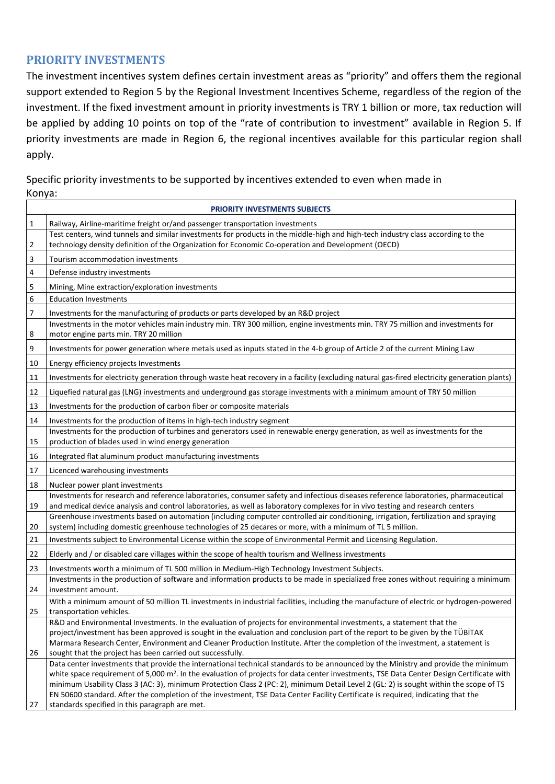#### **PRIORITY INVESTMENTS**

The investment incentives system defines certain investment areas as "priority" and offers them the regional support extended to Region 5 by the Regional Investment Incentives Scheme, regardless of the region of the investment. If the fixed investment amount in priority investments is TRY 1 billion or more, tax reduction will be applied by adding 10 points on top of the "rate of contribution to investment" available in Region 5. If priority investments are made in Region 6, the regional incentives available for this particular region shall apply.

Specific priority investments to be supported by incentives extended to even when made in Konya:

| <b>PRIORITY INVESTMENTS SUBJECTS</b> |                                                                                                                                                                                                                                                                            |  |  |  |
|--------------------------------------|----------------------------------------------------------------------------------------------------------------------------------------------------------------------------------------------------------------------------------------------------------------------------|--|--|--|
| $\mathbf{1}$                         | Railway, Airline-maritime freight or/and passenger transportation investments                                                                                                                                                                                              |  |  |  |
| 2                                    | Test centers, wind tunnels and similar investments for products in the middle-high and high-tech industry class according to the<br>technology density definition of the Organization for Economic Co-operation and Development (OECD)                                     |  |  |  |
| 3                                    | Tourism accommodation investments                                                                                                                                                                                                                                          |  |  |  |
| 4                                    | Defense industry investments                                                                                                                                                                                                                                               |  |  |  |
| 5                                    | Mining, Mine extraction/exploration investments                                                                                                                                                                                                                            |  |  |  |
| 6                                    | <b>Education Investments</b>                                                                                                                                                                                                                                               |  |  |  |
| 7                                    | Investments for the manufacturing of products or parts developed by an R&D project                                                                                                                                                                                         |  |  |  |
| 8                                    | Investments in the motor vehicles main industry min. TRY 300 million, engine investments min. TRY 75 million and investments for<br>motor engine parts min. TRY 20 million                                                                                                 |  |  |  |
| 9                                    | Investments for power generation where metals used as inputs stated in the 4-b group of Article 2 of the current Mining Law                                                                                                                                                |  |  |  |
| 10                                   | Energy efficiency projects Investments                                                                                                                                                                                                                                     |  |  |  |
| 11                                   | Investments for electricity generation through waste heat recovery in a facility (excluding natural gas-fired electricity generation plants)                                                                                                                               |  |  |  |
| 12                                   | Liquefied natural gas (LNG) investments and underground gas storage investments with a minimum amount of TRY 50 million                                                                                                                                                    |  |  |  |
| 13                                   | Investments for the production of carbon fiber or composite materials                                                                                                                                                                                                      |  |  |  |
| 14                                   | Investments for the production of items in high-tech industry segment                                                                                                                                                                                                      |  |  |  |
|                                      | Investments for the production of turbines and generators used in renewable energy generation, as well as investments for the                                                                                                                                              |  |  |  |
| 15                                   | production of blades used in wind energy generation                                                                                                                                                                                                                        |  |  |  |
| 16                                   | Integrated flat aluminum product manufacturing investments                                                                                                                                                                                                                 |  |  |  |
| 17                                   | Licenced warehousing investments                                                                                                                                                                                                                                           |  |  |  |
| 18                                   | Nuclear power plant investments                                                                                                                                                                                                                                            |  |  |  |
| 19                                   | Investments for research and reference laboratories, consumer safety and infectious diseases reference laboratories, pharmaceutical<br>and medical device analysis and control laboratories, as well as laboratory complexes for in vivo testing and research centers      |  |  |  |
|                                      | Greenhouse investments based on automation (including computer controlled air conditioning, irrigation, fertilization and spraying                                                                                                                                         |  |  |  |
| 20                                   | system) including domestic greenhouse technologies of 25 decares or more, with a minimum of TL 5 million.                                                                                                                                                                  |  |  |  |
| 21                                   | Investments subject to Environmental License within the scope of Environmental Permit and Licensing Regulation.                                                                                                                                                            |  |  |  |
| 22                                   | Elderly and / or disabled care villages within the scope of health tourism and Wellness investments                                                                                                                                                                        |  |  |  |
| 23                                   | Investments worth a minimum of TL 500 million in Medium-High Technology Investment Subjects.                                                                                                                                                                               |  |  |  |
|                                      | Investments in the production of software and information products to be made in specialized free zones without requiring a minimum                                                                                                                                        |  |  |  |
| 24                                   | investment amount.                                                                                                                                                                                                                                                         |  |  |  |
| 25                                   | With a minimum amount of 50 million TL investments in industrial facilities, including the manufacture of electric or hydrogen-powered<br>transportation vehicles.                                                                                                         |  |  |  |
|                                      | R&D and Environmental Investments. In the evaluation of projects for environmental investments, a statement that the                                                                                                                                                       |  |  |  |
|                                      | project/investment has been approved is sought in the evaluation and conclusion part of the report to be given by the TÜBITAK                                                                                                                                              |  |  |  |
|                                      | Marmara Research Center, Environment and Cleaner Production Institute. After the completion of the investment, a statement is                                                                                                                                              |  |  |  |
| 26                                   | sought that the project has been carried out successfully.                                                                                                                                                                                                                 |  |  |  |
|                                      | Data center investments that provide the international technical standards to be announced by the Ministry and provide the minimum                                                                                                                                         |  |  |  |
|                                      | white space requirement of 5,000 m <sup>2</sup> . In the evaluation of projects for data center investments, TSE Data Center Design Certificate with                                                                                                                       |  |  |  |
|                                      | minimum Usability Class 3 (AC: 3), minimum Protection Class 2 (PC: 2), minimum Detail Level 2 (GL: 2) is sought within the scope of TS<br>EN 50600 standard. After the completion of the investment, TSE Data Center Facility Certificate is required, indicating that the |  |  |  |
| 27                                   | standards specified in this paragraph are met.                                                                                                                                                                                                                             |  |  |  |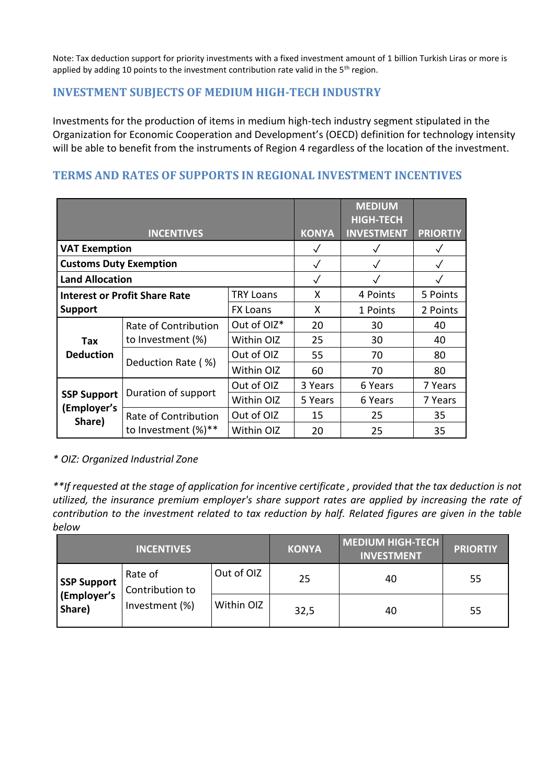Note: Tax deduction support for priority investments with a fixed investment amount of 1 billion Turkish Liras or more is applied by adding 10 points to the investment contribution rate valid in the  $5<sup>th</sup>$  region.

## **INVESTMENT SUBJECTS OF MEDIUM HIGH-TECH INDUSTRY**

Investments for the production of items in medium high-tech industry segment stipulated in the Organization for Economic Cooperation and Development's (OECD) definition for technology intensity will be able to benefit from the instruments of Region 4 regardless of the location of the investment.

# **TERMS AND RATES OF SUPPORTS IN REGIONAL INVESTMENT INCENTIVES**

|                                                          | <b>INCENTIVES</b>      |                 | <b>KONYA</b> | <b>MEDIUM</b><br><b>HIGH-TECH</b><br><b>INVESTMENT</b> | <b>PRIORTIY</b> |
|----------------------------------------------------------|------------------------|-----------------|--------------|--------------------------------------------------------|-----------------|
| <b>VAT Exemption</b>                                     |                        | $\checkmark$    | $\checkmark$ | $\sqrt{}$                                              |                 |
| <b>Customs Duty Exemption</b>                            |                        |                 | $\checkmark$ | $\checkmark$                                           |                 |
| <b>Land Allocation</b>                                   |                        |                 | $\checkmark$ | $\checkmark$                                           |                 |
| <b>TRY Loans</b><br><b>Interest or Profit Share Rate</b> |                        |                 | X            | 4 Points                                               | 5 Points        |
| <b>Support</b>                                           |                        | <b>FX Loans</b> | X            | 1 Points                                               | 2 Points        |
|                                                          | Rate of Contribution   | Out of OIZ*     | 20           | 30                                                     | 40              |
| Tax                                                      | to Investment (%)      | Within OIZ      | 25           | 30                                                     | 40              |
| <b>Deduction</b>                                         | Deduction Rate (%)     | Out of OIZ      | 55           | 70                                                     | 80              |
|                                                          |                        | Within OIZ      | 60           | 70                                                     | 80              |
|                                                          | Duration of support    | Out of OIZ      | 3 Years      | 6 Years                                                | 7 Years         |
| <b>SSP Support</b><br>(Employer's<br>Share)              |                        | Within OIZ      | 5 Years      | 6 Years                                                | 7 Years         |
|                                                          | Rate of Contribution   | Out of OIZ      | 15           | 25                                                     | 35              |
|                                                          | to Investment $(\%)**$ | Within OIZ      | 20           | 25                                                     | 35              |

*\* OIZ: Organized Industrial Zone*

*\*\*If requested at the stage of application for incentive certificate , provided that the tax deduction is not utilized, the insurance premium employer's share support rates are applied by increasing the rate of contribution to the investment related to tax reduction by half. Related figures are given in the table below*

|                                   | <b>INCENTIVES</b>          |            | <b>KONYA</b> | <b>MEDIUM HIGH-TECH</b><br><b>INVESTMENT</b> | <b>PRIORTIY</b> |
|-----------------------------------|----------------------------|------------|--------------|----------------------------------------------|-----------------|
| <b>SSP Support</b><br>(Employer's | Rate of<br>Contribution to | Out of OIZ | 25           | 40                                           | 55              |
| Share)                            | Investment (%)             | Within OIZ | 32,5         | 40                                           | 55              |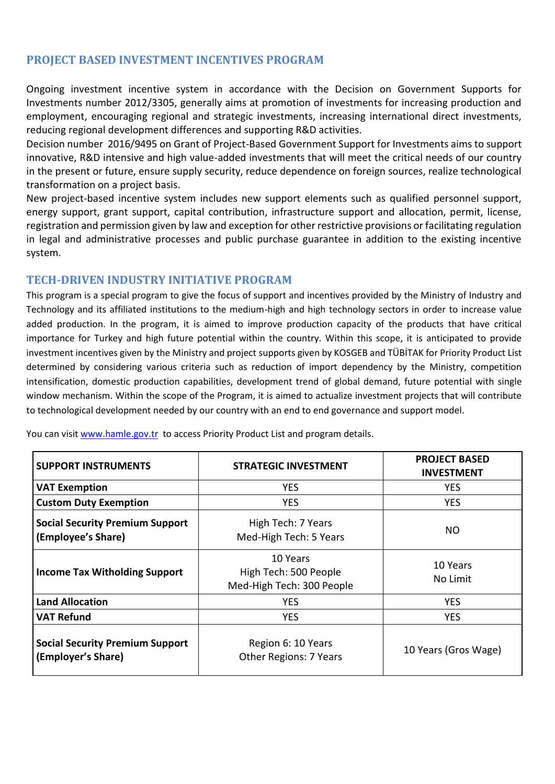## **PROJECT BASED INVESTMENT INCENTIVES PROGRAM**

Ongoing investment incentive system in accordance with the Decision on Government Supports for Investments number 2012/3305, generally aims at promotion of investments for increasing production and employment, encouraging regional and strategic investments, increasing international direct investments, reducing regional development differences and supporting R&D activities.

Decision number 2016/9495 on Grant of Project-Based Government Support for Investments aims to support innovative, R&D intensive and high value-added investments that will meet the critical needs of our country in the present or future, ensure supply security, reduce dependence on foreign sources, realize technological transformation on a project basis.

New project-based incentive system includes new support elements such as qualified personnel support, energy support, grant support, capital contribution, infrastructure support and allocation, permit, license, registration and permission given by law and exception for other restrictive provisions or facilitating regulation in legal and administrative processes and public purchase guarantee in addition to the existing incentive system.

#### **TECH-DRIVEN INDUSTRY INITIATIVE PROGRAM**

This program is a special program to give the focus of support and incentives provided by the Ministry of Industry and Technology and its affiliated institutions to the medium-high and high technology sectors in order to increase value added production. In the program, it is aimed to improve production capacity of the products that have critical importance for Turkey and high future potential within the country. Within this scope, it is anticipated to provide investment incentives given by the Ministry and project supports given by KOSGEB and TÜBİTAK for Priority Product List determined by considering various criteria such as reduction of import dependency by the Ministry, competition intensification, domestic production capabilities, development trend of global demand, future potential with single window mechanism. Within the scope of the Program, it is aimed to actualize investment projects that will contribute to technological development needed by our country with an end to end governance and support model.

| <b>SUPPORT INSTRUMENTS</b>                                   | <b>STRATEGIC INVESTMENT</b>                                    | <b>PROJECT BASED</b><br><b>INVESTMENT</b> |  |
|--------------------------------------------------------------|----------------------------------------------------------------|-------------------------------------------|--|
| <b>VAT Exemption</b>                                         | <b>YES</b>                                                     | <b>YES</b>                                |  |
| <b>Custom Duty Exemption</b>                                 | <b>YES</b>                                                     | <b>YES</b>                                |  |
| <b>Social Security Premium Support</b><br>(Employee's Share) | High Tech: 7 Years<br>Med-High Tech: 5 Years                   | NO                                        |  |
| <b>Income Tax Witholding Support</b>                         | 10 Years<br>High Tech: 500 People<br>Med-High Tech: 300 People | 10 Years<br>No Limit                      |  |
| <b>Land Allocation</b>                                       | <b>YES</b>                                                     | <b>YES</b>                                |  |
| <b>VAT Refund</b>                                            | <b>YES</b>                                                     | <b>YES</b>                                |  |
| <b>Social Security Premium Support</b><br>(Employer's Share) | Region 6: 10 Years<br><b>Other Regions: 7 Years</b>            | 10 Years (Gros Wage)                      |  |

You can visi[t www.hamle.gov.tr](http://www.hamle.gov.tr/) to access Priority Product List and program details.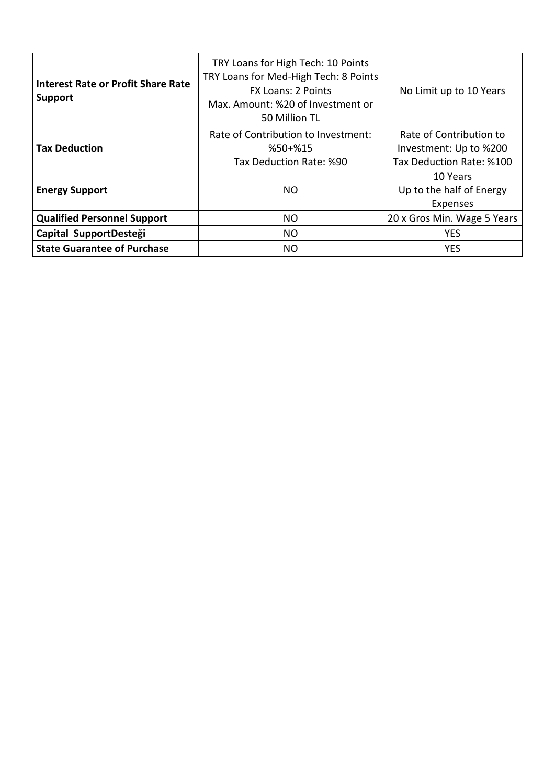| <b>Interest Rate or Profit Share Rate</b><br><b>Support</b> | TRY Loans for High Tech: 10 Points<br>TRY Loans for Med-High Tech: 8 Points<br><b>FX Loans: 2 Points</b><br>Max. Amount: %20 of Investment or<br>50 Million TL | No Limit up to 10 Years                                                       |
|-------------------------------------------------------------|----------------------------------------------------------------------------------------------------------------------------------------------------------------|-------------------------------------------------------------------------------|
| <b>Tax Deduction</b>                                        | Rate of Contribution to Investment:<br>$%50+%15$<br>Tax Deduction Rate: %90                                                                                    | Rate of Contribution to<br>Investment: Up to %200<br>Tax Deduction Rate: %100 |
| <b>Energy Support</b>                                       | NO.                                                                                                                                                            | 10 Years<br>Up to the half of Energy<br>Expenses                              |
| <b>Qualified Personnel Support</b>                          | NO.                                                                                                                                                            | 20 x Gros Min. Wage 5 Years                                                   |
| Capital SupportDesteği                                      | NO.                                                                                                                                                            | <b>YES</b>                                                                    |
| <b>State Guarantee of Purchase</b>                          | NO.                                                                                                                                                            | <b>YES</b>                                                                    |